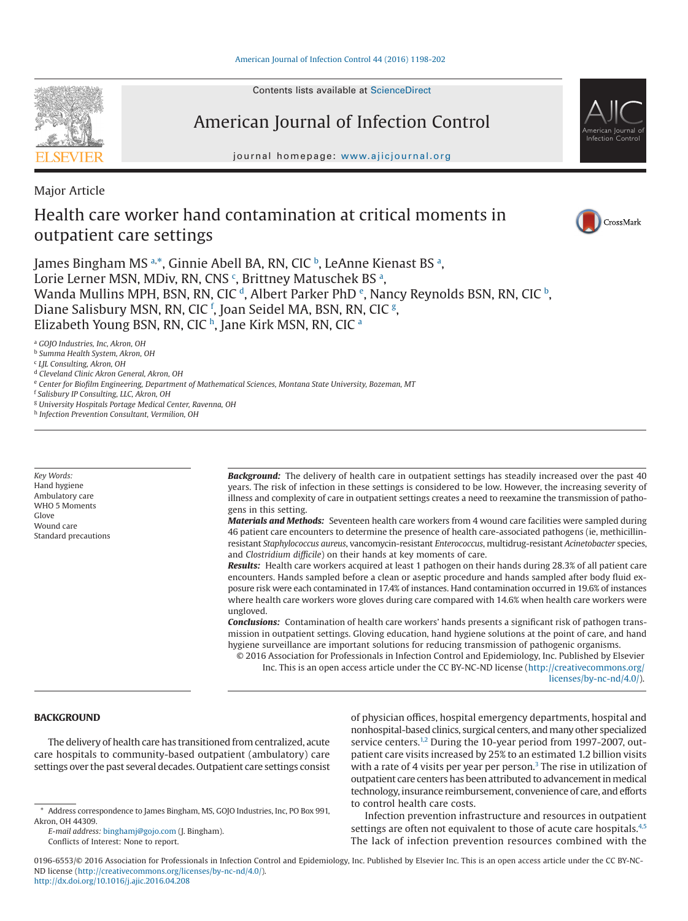Contents lists available at [ScienceDirect](http://www.sciencedirect.com/science/journal/01966553)

# American Journal of Infection Control

journal homepage: [www.ajicjournal.org](http://www.ajicjournal.org)

Major Article

# Health care worker hand contamination at critical moments in outpatient care settings



CrossMark

American Journal of Infection Control

James Bingham MS a.[\\*,](#page-0-1) Ginnie A[b](#page-0-2)ell BA, RN, CIC <sup>b</sup>, LeAnne Kien[a](#page-0-0)st BS <sup>a</sup>, Lorie Lerner MSN, MDiv, RN, CNS <sup>[c](#page-0-3)</sup>, Brittney M[a](#page-0-0)tuschek BS ª, Wanda Mullins MPH, BSN, RN, CIC  $^\mathfrak{d}$ , Alb[e](#page-0-5)rt Parker PhD  $^\mathfrak{e}$ , Nancy Reynolds BSN, RN, CIC  $^\mathfrak{b}$  $^\mathfrak{b}$  $^\mathfrak{b}$ , Diane Salisbury MSN, RN, CIC <sup>r</sup>, Joan Seidel MA, BSN, RN, CIC <sup>[g](#page-0-7)</sup>, Eliz[a](#page-0-0)beth Young BSN, RN, CIC<sup>h</sup>, Jane Kirk MSN, RN, CIC<sup>a</sup>

<span id="page-0-0"></span><sup>a</sup> *GOJO Industries, Inc, Akron, OH*

<span id="page-0-2"></span><sup>b</sup> *Summa Health System, Akron, OH*

<span id="page-0-3"></span><sup>c</sup> *LJL Consulting, Akron, OH*

<span id="page-0-4"></span><sup>d</sup> *Cleveland Clinic Akron General, Akron, OH*

<span id="page-0-6"></span><span id="page-0-5"></span><sup>e</sup> *Center for Biofilm Engineering, Department of Mathematical Sciences, Montana State University, Bozeman, MT*

<sup>f</sup> *Salisbury IP Consulting, LLC, Akron, OH*

<span id="page-0-7"></span><sup>g</sup> *University Hospitals Portage Medical Center, Ravenna, OH*

<span id="page-0-8"></span><sup>h</sup> *Infection Prevention Consultant, Vermilion, OH*

*Key Words:* Hand hygiene Ambulatory care WHO 5 Moments Glove Wound care Standard precautions *Background:* The delivery of health care in outpatient settings has steadily increased over the past 40 years. The risk of infection in these settings is considered to be low. However, the increasing severity of illness and complexity of care in outpatient settings creates a need to reexamine the transmission of pathogens in this setting.

*Materials and Methods:* Seventeen health care workers from 4 wound care facilities were sampled during 46 patient care encounters to determine the presence of health care-associated pathogens (ie, methicillinresistant *Staphylococcus aureus*, vancomycin-resistant *Enterococcus*, multidrug-resistant *Acinetobacter* species, and *Clostridium difficile*) on their hands at key moments of care.

*Results:* Health care workers acquired at least 1 pathogen on their hands during 28.3% of all patient care encounters. Hands sampled before a clean or aseptic procedure and hands sampled after body fluid exposure risk were each contaminated in 17.4% of instances. Hand contamination occurred in 19.6% of instances where health care workers wore gloves during care compared with 14.6% when health care workers were ungloved.

*Conclusions:* Contamination of health care workers' hands presents a significant risk of pathogen transmission in outpatient settings. Gloving education, hand hygiene solutions at the point of care, and hand hygiene surveillance are important solutions for reducing transmission of pathogenic organisms.

© 2016 Association for Professionals in Infection Control and Epidemiology, Inc. Published by Elsevier Inc. This is an open access article under the CC BY-NC-ND license (http://creativecommons.org/ licenses/by-nc-nd/4.0/).

### **BACKGROUND**

The delivery of health care has transitioned from centralized, acute care hospitals to community-based outpatient (ambulatory) care settings over the past several decades. Outpatient care settings consist

*E-mail address:* [binghamj@gojo.com](mailto:binghamj@gojo.com) (J. Bingham). Conflicts of Interest: None to report.

of physician offices, hospital emergency departments, hospital and nonhospital-based clinics, surgical centers, and many other specialized service centers.<sup>1,2</sup> During the 10-year period from 1997-2007, outpatient care visits increased by 25% to an estimated 1.2 billion visits with a rate of 4 visits per year per person. $3$  The rise in utilization of outpatient care centers has been attributed to advancement in medical technology, insurance reimbursement, convenience of care, and efforts to control health care costs.

Infection prevention infrastructure and resources in outpatient settings are often not equivalent to those of acute care hospitals.<sup>4,5</sup> The lack of infection prevention resources combined with the

0196-6553/© 2016 Association for Professionals in Infection Control and Epidemiology, Inc. Published by Elsevier Inc. This is an open access article under the CC BY-NC-ND license (http://creativecommons.org/licenses/by-nc-nd/4.0/). <http://dx.doi.org/10.1016/j.ajic.2016.04.208>

<span id="page-0-1"></span><sup>\*</sup> Address correspondence to James Bingham, MS, GOJO Industries, Inc, PO Box 991, Akron, OH 44309.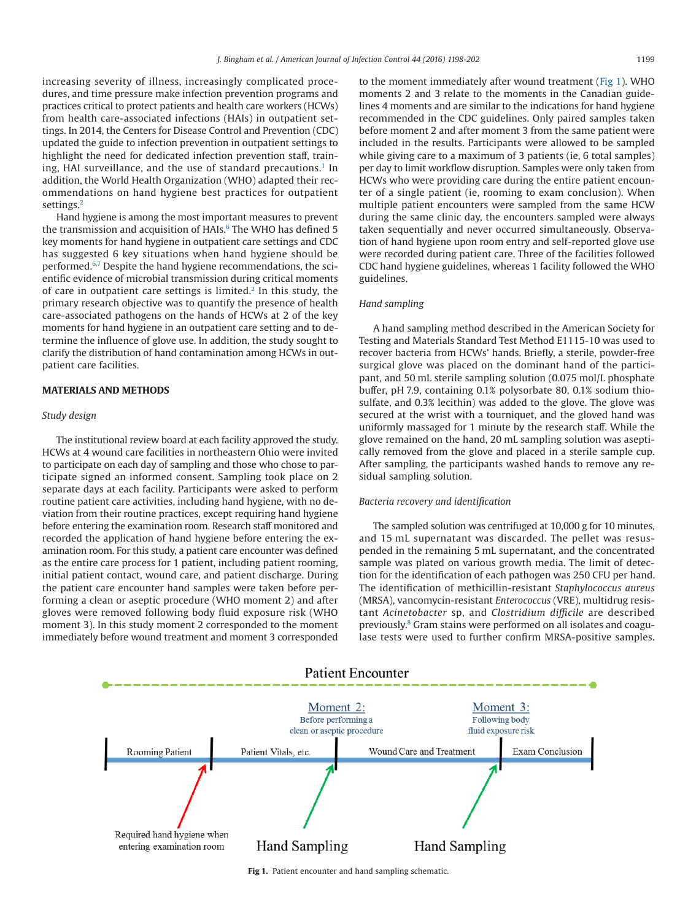increasing severity of illness, increasingly complicated procedures, and time pressure make infection prevention programs and practices critical to protect patients and health care workers (HCWs) from health care-associated infections (HAIs) in outpatient settings. In 2014, the Centers for Disease Control and Prevention (CDC) updated the guide to infection prevention in outpatient settings to highlight the need for dedicated infection prevention staff, training. HAI surveillance, and the use of standard precautions.<sup>1</sup> In addition, the World Health Organization (WHO) adapted their recommendations on hand hygiene best practices for outpatient settings.<sup>2</sup>

Hand hygiene is among the most important measures to prevent the transmission and acquisition of HAIs. $6$  The WHO has defined 5 key moments for hand hygiene in outpatient care settings and CDC has suggested 6 key situations when hand hygiene should be performed.<sup>6,7</sup> Despite the hand hygiene recommendations, the scientific evidence of microbial transmission during critical moments of care in outpatient care settings is limited.<sup>2</sup> In this study, the primary research objective was to quantify the presence of health care-associated pathogens on the hands of HCWs at 2 of the key moments for hand hygiene in an outpatient care setting and to determine the influence of glove use. In addition, the study sought to clarify the distribution of hand contamination among HCWs in outpatient care facilities.

#### **MATERIALS AND METHODS**

### *Study design*

The institutional review board at each facility approved the study. HCWs at 4 wound care facilities in northeastern Ohio were invited to participate on each day of sampling and those who chose to participate signed an informed consent. Sampling took place on 2 separate days at each facility. Participants were asked to perform routine patient care activities, including hand hygiene, with no deviation from their routine practices, except requiring hand hygiene before entering the examination room. Research staff monitored and recorded the application of hand hygiene before entering the examination room. For this study, a patient care encounter was defined as the entire care process for 1 patient, including patient rooming, initial patient contact, wound care, and patient discharge. During the patient care encounter hand samples were taken before performing a clean or aseptic procedure (WHO moment 2) and after gloves were removed following body fluid exposure risk (WHO moment 3). In this study moment 2 corresponded to the moment immediately before wound treatment and moment 3 corresponded to the moment immediately after wound treatment (Fig 1). WHO moments 2 and 3 relate to the moments in the Canadian guidelines 4 moments and are similar to the indications for hand hygiene recommended in the CDC guidelines. Only paired samples taken before moment 2 and after moment 3 from the same patient were included in the results. Participants were allowed to be sampled while giving care to a maximum of 3 patients (ie, 6 total samples) per day to limit workflow disruption. Samples were only taken from HCWs who were providing care during the entire patient encounter of a single patient (ie, rooming to exam conclusion). When multiple patient encounters were sampled from the same HCW during the same clinic day, the encounters sampled were always taken sequentially and never occurred simultaneously. Observation of hand hygiene upon room entry and self-reported glove use were recorded during patient care. Three of the facilities followed CDC hand hygiene guidelines, whereas 1 facility followed the WHO guidelines.

## *Hand sampling*

A hand sampling method described in the American Society for Testing and Materials Standard Test Method E1115-10 was used to recover bacteria from HCWs' hands. Briefly, a sterile, powder-free surgical glove was placed on the dominant hand of the participant, and 50 mL sterile sampling solution (0.075 mol/L phosphate buffer, pH 7.9, containing 0.1% polysorbate 80, 0.1% sodium thiosulfate, and 0.3% lecithin) was added to the glove. The glove was secured at the wrist with a tourniquet, and the gloved hand was uniformly massaged for 1 minute by the research staff. While the glove remained on the hand, 20 mL sampling solution was aseptically removed from the glove and placed in a sterile sample cup. After sampling, the participants washed hands to remove any residual sampling solution.

#### *Bacteria recovery and identification*

The sampled solution was centrifuged at 10,000 g for 10 minutes, and 15 mL supernatant was discarded. The pellet was resuspended in the remaining 5 mL supernatant, and the concentrated sample was plated on various growth media. The limit of detection for the identification of each pathogen was 250 CFU per hand. The identification of methicillin-resistant *Staphylococcus aureus* (MRSA), vancomycin-resistant *Enterococcus* (VRE), multidrug resistant *Acinetobacter* sp, and *Clostridium difficile* are described previously[.8](#page-4-5) Gram stains were performed on all isolates and coagulase tests were used to further confirm MRSA-positive samples.



**Fig 1.** Patient encounter and hand sampling schematic.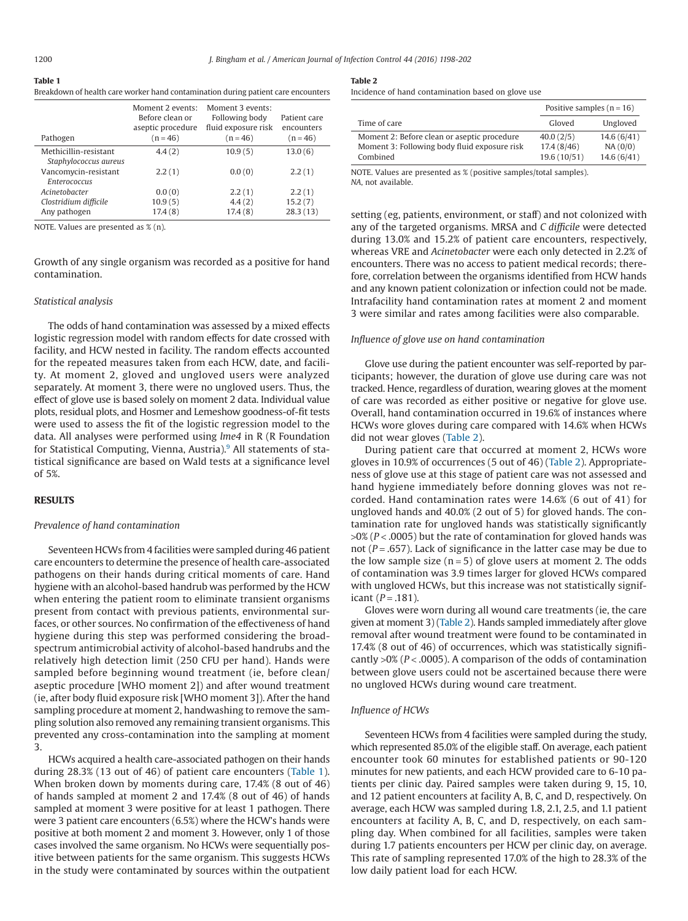| <b>Table 1</b>                                                                    |
|-----------------------------------------------------------------------------------|
| Breakdown of health care worker hand contamination during patient care encounters |

| Pathogen              | Moment 2 events:<br>Before clean or<br>aseptic procedure<br>$(n = 46)$ | Moment 3 events:<br>Following body<br>fluid exposure risk<br>$(n = 46)$ | Patient care<br>encounters<br>$(n = 46)$ |
|-----------------------|------------------------------------------------------------------------|-------------------------------------------------------------------------|------------------------------------------|
| Methicillin-resistant | 4.4(2)                                                                 | 10.9(5)                                                                 | 13.0(6)                                  |
| Staphylococcus aureus |                                                                        |                                                                         |                                          |
| Vancomycin-resistant  | 2.2(1)                                                                 | 0.0(0)                                                                  | 2.2(1)                                   |
| <b>Enterococcus</b>   |                                                                        |                                                                         |                                          |
| Acinetobacter         | 0.0(0)                                                                 | 2.2(1)                                                                  | 2.2(1)                                   |
| Clostridium difficile | 10.9(5)                                                                | 4.4(2)                                                                  | 15.2(7)                                  |
| Any pathogen          | 17.4(8)                                                                | 17.4(8)                                                                 | 28.3(13)                                 |
|                       |                                                                        |                                                                         |                                          |

NOTE. Values are presented as % (n).

Growth of any single organism was recorded as a positive for hand contamination.

#### *Statistical analysis*

The odds of hand contamination was assessed by a mixed effects logistic regression model with random effects for date crossed with facility, and HCW nested in facility. The random effects accounted for the repeated measures taken from each HCW, date, and facility. At moment 2, gloved and ungloved users were analyzed separately. At moment 3, there were no ungloved users. Thus, the effect of glove use is based solely on moment 2 data. Individual value plots, residual plots, and Hosmer and Lemeshow goodness-of-fit tests were used to assess the fit of the logistic regression model to the data. All analyses were performed using *lme4* in R (R Foundation for Statistical Computing, Vienna, Austria).<sup>9</sup> All statements of statistical significance are based on Wald tests at a significance level of 5%.

### **RESULTS**

#### *Prevalence of hand contamination*

Seventeen HCWs from 4 facilities were sampled during 46 patient care encounters to determine the presence of health care-associated pathogens on their hands during critical moments of care. Hand hygiene with an alcohol-based handrub was performed by the HCW when entering the patient room to eliminate transient organisms present from contact with previous patients, environmental surfaces, or other sources. No confirmation of the effectiveness of hand hygiene during this step was performed considering the broadspectrum antimicrobial activity of alcohol-based handrubs and the relatively high detection limit (250 CFU per hand). Hands were sampled before beginning wound treatment (ie, before clean/ aseptic procedure [WHO moment 2]) and after wound treatment (ie, after body fluid exposure risk [WHO moment 3]). After the hand sampling procedure at moment 2, handwashing to remove the sampling solution also removed any remaining transient organisms. This prevented any cross-contamination into the sampling at moment 3.

HCWs acquired a health care-associated pathogen on their hands during 28.3% (13 out of 46) of patient care encounters (Table 1). When broken down by moments during care, 17.4% (8 out of 46) of hands sampled at moment 2 and 17.4% (8 out of 46) of hands sampled at moment 3 were positive for at least 1 pathogen. There were 3 patient care encounters (6.5%) where the HCW's hands were positive at both moment 2 and moment 3. However, only 1 of those cases involved the same organism. No HCWs were sequentially positive between patients for the same organism. This suggests HCWs in the study were contaminated by sources within the outpatient

#### **Table 2**

Incidence of hand contamination based on glove use

|                                              | Positive samples ( $n = 16$ ) |            |
|----------------------------------------------|-------------------------------|------------|
| Time of care                                 | Gloved                        | Ungloved   |
| Moment 2: Before clean or aseptic procedure  | 40.0(2/5)                     | 14.6(6/41) |
| Moment 3: Following body fluid exposure risk | 17.4(8/46)                    | NA(0/0)    |
| Combined                                     | 19.6(10/51)                   | 14.6(6/41) |

NOTE. Values are presented as % (positive samples/total samples). *NA*, not available.

setting (eg, patients, environment, or staff) and not colonized with any of the targeted organisms. MRSA and *C difficile* were detected during 13.0% and 15.2% of patient care encounters, respectively, whereas VRE and *Acinetobacter* were each only detected in 2.2% of encounters. There was no access to patient medical records; therefore, correlation between the organisms identified from HCW hands and any known patient colonization or infection could not be made. Intrafacility hand contamination rates at moment 2 and moment 3 were similar and rates among facilities were also comparable.

#### *Influence of glove use on hand contamination*

Glove use during the patient encounter was self-reported by participants; however, the duration of glove use during care was not tracked. Hence, regardless of duration, wearing gloves at the moment of care was recorded as either positive or negative for glove use. Overall, hand contamination occurred in 19.6% of instances where HCWs wore gloves during care compared with 14.6% when HCWs did not wear gloves (Table 2).

During patient care that occurred at moment 2, HCWs wore gloves in 10.9% of occurrences (5 out of 46) (Table 2). Appropriateness of glove use at this stage of patient care was not assessed and hand hygiene immediately before donning gloves was not recorded. Hand contamination rates were 14.6% (6 out of 41) for ungloved hands and 40.0% (2 out of 5) for gloved hands. The contamination rate for ungloved hands was statistically significantly >0% (*P* < .0005) but the rate of contamination for gloved hands was not ( $P = .657$ ). Lack of significance in the latter case may be due to the low sample size  $(n=5)$  of glove users at moment 2. The odds of contamination was 3.9 times larger for gloved HCWs compared with ungloved HCWs, but this increase was not statistically significant  $(P = .181)$ .

Gloves were worn during all wound care treatments (ie, the care given at moment 3) (Table 2). Hands sampled immediately after glove removal after wound treatment were found to be contaminated in 17.4% (8 out of 46) of occurrences, which was statistically significantly >0% (*P* < .0005). A comparison of the odds of contamination between glove users could not be ascertained because there were no ungloved HCWs during wound care treatment.

# *Influence of HCWs*

Seventeen HCWs from 4 facilities were sampled during the study, which represented 85.0% of the eligible staff. On average, each patient encounter took 60 minutes for established patients or 90-120 minutes for new patients, and each HCW provided care to 6-10 patients per clinic day. Paired samples were taken during 9, 15, 10, and 12 patient encounters at facility A, B, C, and D, respectively. On average, each HCW was sampled during 1.8, 2.1, 2.5, and 1.1 patient encounters at facility A, B, C, and D, respectively, on each sampling day. When combined for all facilities, samples were taken during 1.7 patients encounters per HCW per clinic day, on average. This rate of sampling represented 17.0% of the high to 28.3% of the low daily patient load for each HCW.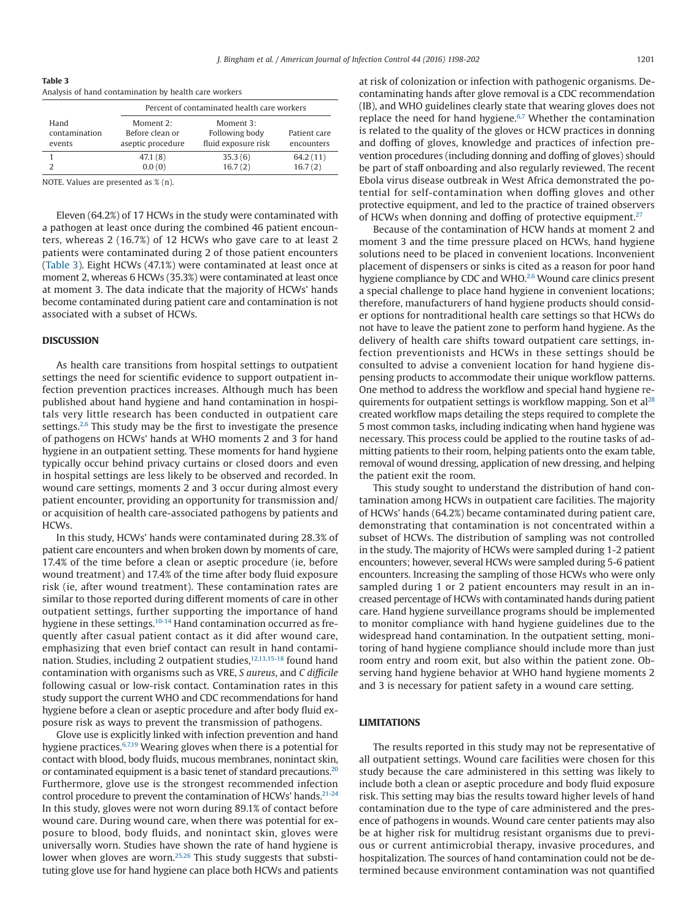**Table 3**

| Analysis of hand contamination by health care workers |                                                   |                                                    |                            |  |  |  |  |
|-------------------------------------------------------|---------------------------------------------------|----------------------------------------------------|----------------------------|--|--|--|--|
|                                                       | Percent of contaminated health care workers       |                                                    |                            |  |  |  |  |
| Hand<br>contamination<br>events                       | Moment 2:<br>Before clean or<br>aseptic procedure | Moment 3:<br>Following body<br>fluid exposure risk | Patient care<br>encounters |  |  |  |  |
| っ                                                     | 47.1(8)<br>0.0(0)                                 | 35.3(6)<br>16.7(2)                                 | 64.2(11)<br>16.7(2)        |  |  |  |  |

NOTE. Values are presented as % (n).

Eleven (64.2%) of 17 HCWs in the study were contaminated with a pathogen at least once during the combined 46 patient encounters, whereas 2 (16.7%) of 12 HCWs who gave care to at least 2 patients were contaminated during 2 of those patient encounters (Table 3). Eight HCWs (47.1%) were contaminated at least once at moment 2, whereas 6 HCWs (35.3%) were contaminated at least once at moment 3. The data indicate that the majority of HCWs' hands become contaminated during patient care and contamination is not associated with a subset of HCWs.

#### **DISCUSSION**

As health care transitions from hospital settings to outpatient settings the need for scientific evidence to support outpatient infection prevention practices increases. Although much has been published about hand hygiene and hand contamination in hospitals very little research has been conducted in outpatient care settings. $2,6$  This study may be the first to investigate the presence of pathogens on HCWs' hands at WHO moments 2 and 3 for hand hygiene in an outpatient setting. These moments for hand hygiene typically occur behind privacy curtains or closed doors and even in hospital settings are less likely to be observed and recorded. In wound care settings, moments 2 and 3 occur during almost every patient encounter, providing an opportunity for transmission and/ or acquisition of health care-associated pathogens by patients and HCWs.

In this study, HCWs' hands were contaminated during 28.3% of patient care encounters and when broken down by moments of care, 17.4% of the time before a clean or aseptic procedure (ie, before wound treatment) and 17.4% of the time after body fluid exposure risk (ie, after wound treatment). These contamination rates are similar to those reported during different moments of care in other outpatient settings, further supporting the importance of hand hygiene in these settings.<sup>10-14</sup> Hand contamination occurred as frequently after casual patient contact as it did after wound care, emphasizing that even brief contact can result in hand contamination. Studies, including 2 outpatient studies, 12,13,15-18 found hand contamination with organisms such as VRE, *S aureus*, and *C difficile* following casual or low-risk contact. Contamination rates in this study support the current WHO and CDC recommendations for hand hygiene before a clean or aseptic procedure and after body fluid exposure risk as ways to prevent the transmission of pathogens.

Glove use is explicitly linked with infection prevention and hand hygiene practices.<sup>6,7,19</sup> Wearing gloves when there is a potential for contact with blood, body fluids, mucous membranes, nonintact skin, or contaminated equipment is a basic tenet of standard precautions.<sup>20</sup> Furthermore, glove use is the strongest recommended infection control procedure to prevent the contamination of HCWs' hands.<sup>21-24</sup> In this study, gloves were not worn during 89.1% of contact before wound care. During wound care, when there was potential for exposure to blood, body fluids, and nonintact skin, gloves were universally worn. Studies have shown the rate of hand hygiene is lower when gloves are worn.<sup>25,26</sup> This study suggests that substituting glove use for hand hygiene can place both HCWs and patients at risk of colonization or infection with pathogenic organisms. Decontaminating hands after glove removal is a CDC recommendation (IB), and WHO guidelines clearly state that wearing gloves does not replace the need for hand hygiene.<sup>6,7</sup> Whether the contamination is related to the quality of the gloves or HCW practices in donning and doffing of gloves, knowledge and practices of infection prevention procedures (including donning and doffing of gloves) should be part of staff onboarding and also regularly reviewed. The recent Ebola virus disease outbreak in West Africa demonstrated the potential for self-contamination when doffing gloves and other protective equipment, and led to the practice of trained observers of HCWs when donning and doffing of protective equipment.<sup>27</sup>

Because of the contamination of HCW hands at moment 2 and moment 3 and the time pressure placed on HCWs, hand hygiene solutions need to be placed in convenient locations. Inconvenient placement of dispensers or sinks is cited as a reason for poor hand hygiene compliance by CDC and WHO.<sup>2,6</sup> Wound care clinics present a special challenge to place hand hygiene in convenient locations; therefore, manufacturers of hand hygiene products should consider options for nontraditional health care settings so that HCWs do not have to leave the patient zone to perform hand hygiene. As the delivery of health care shifts toward outpatient care settings, infection preventionists and HCWs in these settings should be consulted to advise a convenient location for hand hygiene dispensing products to accommodate their unique workflow patterns. One method to address the workflow and special hand hygiene requirements for outpatient settings is workflow mapping. Son et a[l28](#page-4-13) created workflow maps detailing the steps required to complete the 5 most common tasks, including indicating when hand hygiene was necessary. This process could be applied to the routine tasks of admitting patients to their room, helping patients onto the exam table, removal of wound dressing, application of new dressing, and helping the patient exit the room.

This study sought to understand the distribution of hand contamination among HCWs in outpatient care facilities. The majority of HCWs' hands (64.2%) became contaminated during patient care, demonstrating that contamination is not concentrated within a subset of HCWs. The distribution of sampling was not controlled in the study. The majority of HCWs were sampled during 1-2 patient encounters; however, several HCWs were sampled during 5-6 patient encounters. Increasing the sampling of those HCWs who were only sampled during 1 or 2 patient encounters may result in an increased percentage of HCWs with contaminated hands during patient care. Hand hygiene surveillance programs should be implemented to monitor compliance with hand hygiene guidelines due to the widespread hand contamination. In the outpatient setting, monitoring of hand hygiene compliance should include more than just room entry and room exit, but also within the patient zone. Observing hand hygiene behavior at WHO hand hygiene moments 2 and 3 is necessary for patient safety in a wound care setting.

# **LIMITATIONS**

The results reported in this study may not be representative of all outpatient settings. Wound care facilities were chosen for this study because the care administered in this setting was likely to include both a clean or aseptic procedure and body fluid exposure risk. This setting may bias the results toward higher levels of hand contamination due to the type of care administered and the presence of pathogens in wounds. Wound care center patients may also be at higher risk for multidrug resistant organisms due to previous or current antimicrobial therapy, invasive procedures, and hospitalization. The sources of hand contamination could not be determined because environment contamination was not quantified